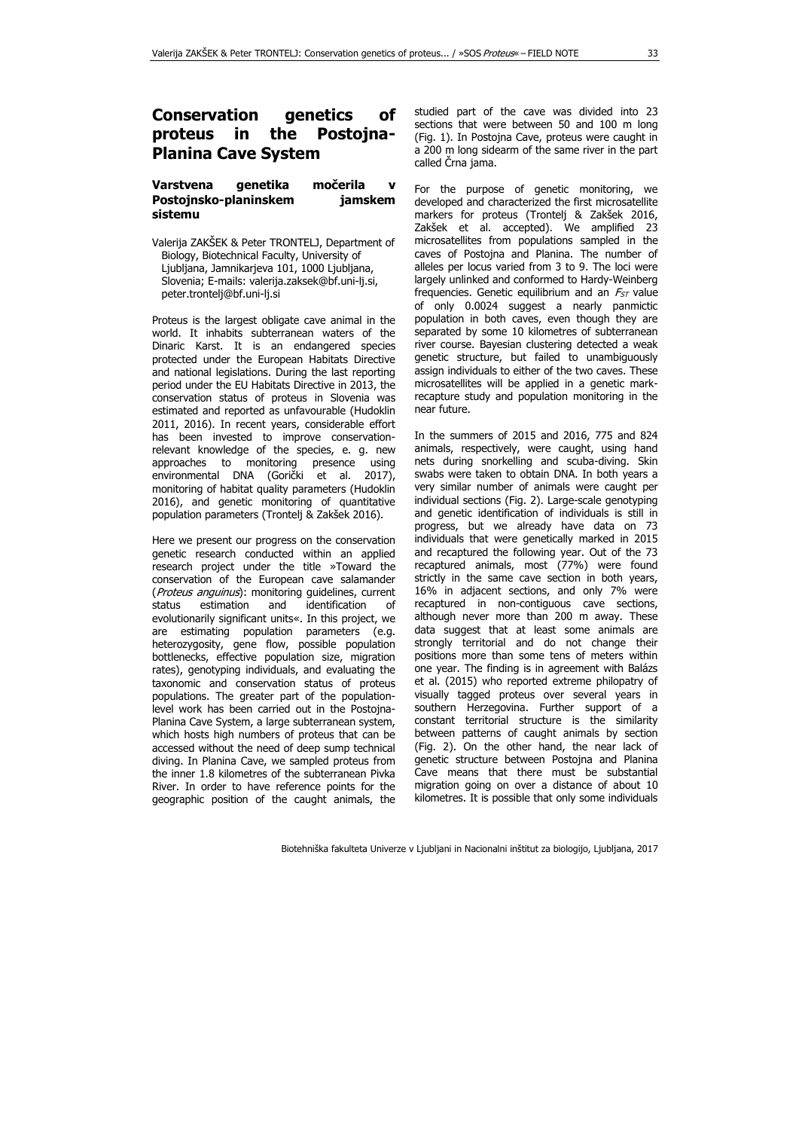## **Conservation genetics of proteus in the Postojna-Planina Cave System**

## **Varstvena genetika močerila v Postojnsko-planinskem jamskem sistemu**

Valerija ZAKŠEK & Peter TRONTELJ, Department of Biology, Biotechnical Faculty, University of Ljubljana, Jamnikarjeva 101, 1000 Ljubljana, Slovenia; E-mails: valerija.zaksek@bf.uni-lj.si, peter.trontelj@bf.uni-lj.si

Proteus is the largest obligate cave animal in the world. It inhabits subterranean waters of the Dinaric Karst. It is an endangered species protected under the European Habitats Directive and national legislations. During the last reporting period under the EU Habitats Directive in 2013, the conservation status of proteus in Slovenia was estimated and reported as unfavourable (Hudoklin 2011, 2016). In recent years, considerable effort has been invested to improve conservationrelevant knowledge of the species, e. g. new approaches to monitoring presence using environmental DNA (Gorički et al. 2017), monitoring of habitat quality parameters (Hudoklin 2016), and genetic monitoring of quantitative population parameters (Trontelj & Zakšek 2016).

Here we present our progress on the conservation genetic research conducted within an applied research project under the title »Toward the conservation of the European cave salamander (Proteus anguinus): monitoring guidelines, current status estimation and identification of evolutionarily significant units«. In this project, we are estimating population parameters (e.g. heterozygosity, gene flow, possible population bottlenecks, effective population size, migration rates), genotyping individuals, and evaluating the taxonomic and conservation status of proteus populations. The greater part of the populationlevel work has been carried out in the Postojna-Planina Cave System, a large subterranean system, which hosts high numbers of proteus that can be accessed without the need of deep sump technical diving. In Planina Cave, we sampled proteus from the inner 1.8 kilometres of the subterranean Pivka River. In order to have reference points for the geographic position of the caught animals, the

studied part of the cave was divided into 23 sections that were between 50 and 100 m long (Fig. 1). In Postojna Cave, proteus were caught in a 200 m long sidearm of the same river in the part called Črna jama.

For the purpose of genetic monitoring, we developed and characterized the first microsatellite markers for proteus (Trontelj & Zakšek 2016, Zakšek et al. accepted). We amplified 23 microsatellites from populations sampled in the caves of Postojna and Planina. The number of alleles per locus varied from 3 to 9. The loci were largely unlinked and conformed to Hardy-Weinberg frequencies. Genetic equilibrium and an  $F_{ST}$  value of only 0.0024 suggest a nearly panmictic population in both caves, even though they are separated by some 10 kilometres of subterranean river course. Bayesian clustering detected a weak genetic structure, but failed to unambiguously assign individuals to either of the two caves. These microsatellites will be applied in a genetic markrecapture study and population monitoring in the near future.

In the summers of 2015 and 2016, 775 and 824 animals, respectively, were caught, using hand nets during snorkelling and scuba-diving. Skin swabs were taken to obtain DNA. In both years a very similar number of animals were caught per individual sections (Fig. 2). Large-scale genotyping and genetic identification of individuals is still in progress, but we already have data on 73 individuals that were genetically marked in 2015 and recaptured the following year. Out of the 73 recaptured animals, most (77%) were found strictly in the same cave section in both years, 16% in adjacent sections, and only 7% were recaptured in non-contiguous cave sections, although never more than 200 m away. These data suggest that at least some animals are strongly territorial and do not change their positions more than some tens of meters within one year. The finding is in agreement with Balázs et al. (2015) who reported extreme philopatry of visually tagged proteus over several years in southern Herzegovina. Further support of a constant territorial structure is the similarity between patterns of caught animals by section (Fig. 2). On the other hand, the near lack of genetic structure between Postojna and Planina Cave means that there must be substantial migration going on over a distance of about 10 kilometres. It is possible that only some individuals

Biotehniška fakulteta Univerze v Ljubljani in Nacionalni inštitut za biologijo, Ljubljana, 2017